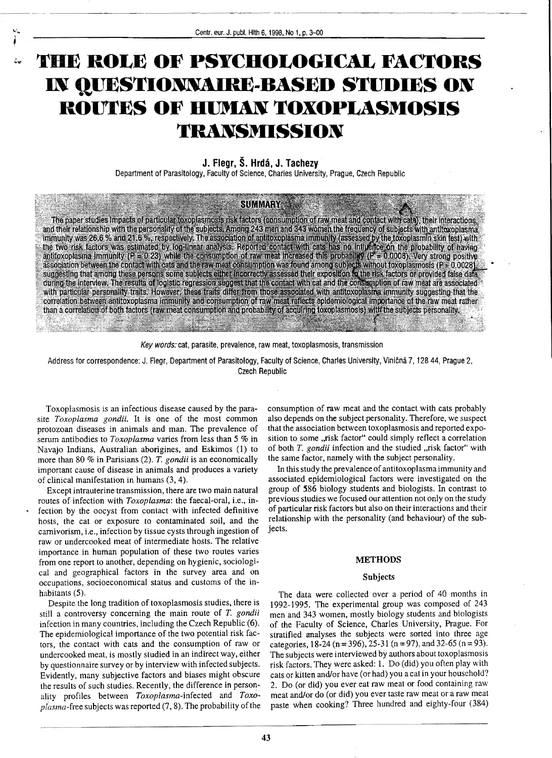# **THE ROLE OF PSYCHOLOGICAL FACTORS IN qUESTIONNAIRE-BASED STUDIES ON ROUTES OF IIlJMAN TOXOPLASMOSIS TRANSMISSION**

# **J. Flegr, S. Hrda, J. Tachezy**

Department of Parasitology, Faculty of Science, Charles University, Prague, Czech Republic

## **SUMMARY**

The paper studies impacts of particular toxoplasmosis risk factors (consumption of raw meat and contact with cats), their interactions, The paper studies impacts of particular toxoplasmosis risk factors (consumption of raw meat and contact with cats), their interactions, and their relationship with the personality of the subjects. Among 243 men and 343 wo correlation between antitoxoplasma immunity and consumption of raw meat reflects epidemiological importance of the raw meat rather than a correlation of both factors (raw meat consumption and probability of acquiring toxoplasmosis) with the subjects personality.

Key words: cat, parasite, prevalence, raw meat, toxoplasmosis, transmission

Address for correspondence: J. Flegr, Department of Parasitology, Faculty of Science, Charles University, Viničná 7, 128 44, Prague 2, Czech Republic

Toxoplasmosis is an infectious disease caused by the parasite *Toxoplasma gondii.* It is one of the most common protozoan diseases in animals and man. The prevalence of serum antibodies to *Toxoplasma* varies from less than 5 % in Navajo Indians. Australian aborigines, and Eskimos (1) to more than 80 % in Parisians (2). *T. gondii* is an economically important cause of disease in animals and produces a variety of clinical manifestation in humans (3, 4).

Except intrauterine transmission, there are two main natural routes of infection with *Toxoplasma*: the faecal-oral, i.e., infection by the oocyst from contact with infected definitive hosts, the cat or exposure to contaminated soil, and the carnivorism, i.e., infection by tissue cysts through ingestion of raw or undercooked meat of intermediate hosts. The relative importance in human population of these two routes varies from one report to another, depending on hygienic, sociological and geographical factors in the survey area and on occupations, socioeconomical status and customs of the inhabitants (5).

Despite the long tradition of toxoplasmosis studies, there is still a controversy concerning the main route of *T. gondii*  infection in many countries, including the Czech Republic (6). The epidemiological importance of the two potential risk factors, the contact with cats and the consumption of raw or undercooked meat, is mostly studied in an indirect way, either by questionnaire survey or by interview with infected subjects. Evidently, many subjective factors and biases might obscure the results of such studies. Recently, the difference in personality profiles between *Toxoplasma-infected* and *Toxoplasma*-free subjects was reported (7, 8). The probability of the paste when cooking? Three hundred and eighty-tour (3

consumption of raw meat and the contact with cats probably also depends on the subject personality. Therefore, we suspect that the association between toxoplasmosis and reported exposition to some "risk factor" could simply reflect a correlation of both *T. gondii* infection and the studied "risk factor" with the same factor, namely with the subject personality.

---~~------ ... --.-•..... -~ .. - ... -~---~

In this study the prevalence of antitoxoplasma immunity and associated epidemiological factors were investigated on the group of 586 biology students and biologists. In contrast to previous studies we focused our attention not only on the study of particular risk factors but also on their interactions and their relationship with the personality (and behaviour) of the subjects.

## **METHODS**

#### **Subjects**

The data were collected over a period of 40 months in 1992-1995. The experimental group was composed of 243 men and 343 women, mostly biology students and biologists of the Faculty of Science, Charles University, Prague. For stratified analyses the subjects were sorted into three age categories, 18-24 (n = 396), 25-31 (n = 97), and 32-65 (n = 93). The subjects were interviewed by authors about toxoplasmosis risk factors. They were asked: 1. Do (did) you often play with cats or kitten and/or have (or had) you a cat in your household? 2. Do (or did) you ever eat raw meat or food containing raw meat and/or do (or did) you ever taste raw meat or a raw meat paste when cooking? Three hundred and eighty-four (384)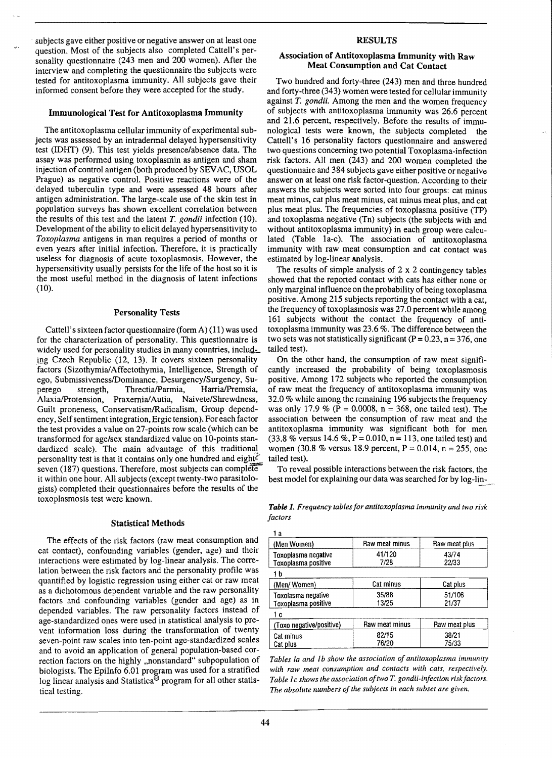subjects gave either positive or negative answer on at least one question. Most of the subjects also completed Cattel\'s personality questionnaire (243 men and 200 women). After the interview and completing the questionnaire the subjects were tested for antitoxoplasma immunity. All subjects gave their informed consent before they were accepted for the study.

#### Immunological Test for Antitoxoplasma Immunity

The antitoxoplasma cellular immunity of experimental subjects was assessed by an intradermal delayed hypersensitivity test (IDHT) (9). This test yields presence/absence data. The assay was performed using toxoplasmin as antigen and sham injection of control antigen (both produced by SEV AC, USOL Prague) as negative control. Positive reactions were of the delayed tuberculin type and were assessed 48 hours after antigen administration. The large-scale use of the skin test in population surveys has shown excellent correlation between the results of this test and the latent T. *gondii* infection (10). Development of the ability to elicit delayed hypersensitivity to *Toxoplasma* antigens in man requires a period of months or even years after initial infection. Therefore, it is practically useless for diagnosis of acute toxoplasmosis. However, the hypersensitivity usually persists for the life of the host so it is the most useful method in the diagnosis of latent infections (10).

#### Personality Tests

Cattell's sixteen factor questionnaire (formA) (11) was used for the characterization of personality. This questionnaire is widely used for personality studies in many countries, including Czech Republic (12, 13). It covers sixteen personality factors (Sizothymia/Affectothymia, Intelligence, Strength of ego, Submissiveness/Dorninance, Desurgency/Surgency, Superego strength, Threctia/Parmia, HarrialPremsia, AlaxialProtension, Praxernial Autia, Naivete/Shrewdness, Guilt proneness, Conservatism/Radicalism, Group dependency, Self sentiment integration, Ergic tension). For each factor the test provides a value on 27-points row scale (which can be transformed for age/sex standardized value on lO-points standardized scale). The main advantage of this traditional. personality test is that it contains only one hundred and eight $\ell'$ seven (187) questions. Therefore, most subjects can complete it within one hour. All subjects (except twenty-two parasitologists) completed their questionnaires before the results of the toxoplasmosis test were known.

#### Statistical Methods

The effects of the risk factors (raw meat consumption and cat contact), confounding variables (gender, age) and their interactions were estimated by log-linear analysis. The correlation between the risk factors and the personality profile was quantified by logistic regression using either cat or raw meat as a dichotomous dependent variable and the raw personality factors and confounding variables (gender and age) as in depended variables. The raw personality factors instead of age-standardized ones were used in statistical analysis to prevent information loss during" the transformation of twenty seven-point raw scales into ten-point age-standardized scales and to avoid an application of general population-based correction factors on the highly "nonstandard" subpopulation of biologists. The EpiInfo 6.01 program was used for a stratified log linear analysis and Statistica<sup> $\circledast$ </sup> program for all other statistical testing.

## RESULTS

# Association of Antitoxoplasma Immunity with Raw Meat Consumption and Cat Contact

Two hundred and forty-three (243) men and three hundred and forty-three (343) women were tested for cellular immunity against *T. gondii.* Among the men and the women frequency of subjects with antitoxoplasma immunity was 26.6 percent and 21.6 percent, respectively. Before the results of immunological tests were known. the subjects completed the Cattell's 16 personality factors questionnaire and answered two questions concerning two potential Toxoplasma-infection risk factors. All men (243) and 200 women completed the questionnaire and 384 subjects gave either positive or negative answer on at least one risk factor-question. According to their answers the subjects were sorted into four groups: cat minus meat minus, cat plus meat minus, cat minus meat plus, and cat plus meat plus. The frequencies of toxoplasma positive (TP) and toxoplasma negative (Tn) subjects (the subjects with and without antitoxoplasma immunity) in each group were calculated (Table la-c). The association of antitoxoplasma immunity with raw meat consumption and cat contact was estimated by log-linear analysis.

The results of simple analysis of  $2 \times 2$  contingency tables showed that the reported contact with cats has either none or only marginal influence on the probability of being toxoplasma positive. Among 215 subjects reporting the contact with a cat, the frequency of toxoplasmosis was 27.0 percent while among 161 subjects without the contact the frequency of antitoxoplasma immunity was 23.6 %. The difference between the two sets was not statistically significant ( $P = 0.23$ ,  $n = 376$ , one tailed test).

On the other hand, the consumption of raw meat significantly increased the probability of being toxoplasmosis positive. Among 172 subjects who reported the consumption of raw meat the frequency of antitoxoplasma immunity was 32.0 % while among the remaining 196 subjects the frequency was only 17.9 % (P = 0.0008, n = 368, one tailed test). The association between the consumption of raw meat and the antitoxoplasma immunity was significant both for men (33.8 % versus 14.6 %, P = 0.010, n = 113, one tailed test) and women (30.8 % versus 18.9 percent,  $P = 0.014$ ,  $n = 255$ , one tailed test).

To reveal possible interactions between the risk factors, the best model for explaining our data was searched for by log-lin

---~.

*Table* 1. *Frequency tables for antitoxopLasma immunity and two risk factors* 

| a                                          |                |                 |
|--------------------------------------------|----------------|-----------------|
| (Men Women)                                | Raw meat minus | Raw meat plus   |
| Toxoplasma negative<br>Toxoplasma positive | 41/120<br>7/28 | 43/74<br>22/33  |
| 1 b                                        |                |                 |
| (Men/Women)                                | Cat minus      | Cat plus        |
| Toxolasma negative<br>Toxoplasma positive  | 35/88<br>13/25 | 51/106<br>21/37 |
| c                                          |                |                 |
| (Toxo negative/positive)                   | Raw meat minus | Raw meat plus   |
| Cat minus<br>Cat plus                      | 82/15<br>76/20 | 38/21<br>75/33  |

*Tables La and Jb show the association of antitoxoplasma immunity with raw meat consumption and contacts with cats, respectively.*  Table 1c shows the association of two T. gondii-infection risk factors. The absolute numbers of the subjects in each subset are given.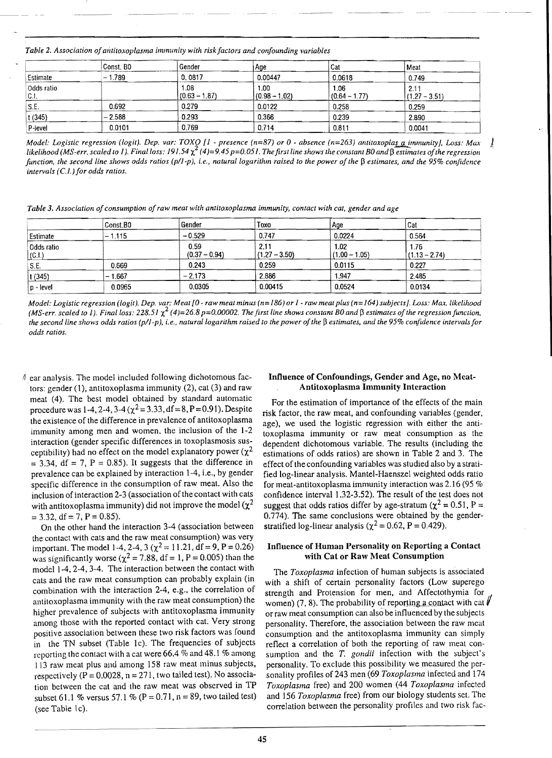Table 2. Association of antitoxoplasma immunity with risk factors and confounding variables

|                     | Const. BO | Gender                  | Age                     | l Cat                   | Meat                    |
|---------------------|-----------|-------------------------|-------------------------|-------------------------|-------------------------|
| Estimate            | $-1.789$  | 0.0817                  | 0.00447                 | 0.0618                  | 0.749                   |
| Odds ratio<br>IC.I. |           | 1.08<br>$(0.63 - 1.87)$ | 1.00<br>$(0.98 - 1.02)$ | 1.06<br>$(0.64 - 1.77)$ | 2.11<br>$(1.27 - 3.51)$ |
| S.E.                | 0.692     | 0.279                   | 0.0122                  | 0.258                   | 0.259                   |
| t(345)              | $-2.588$  | 0.293                   | 0.366                   | 0.239                   | 2.890                   |
| P-level             | 0.0101    | 0.769                   | 0.714                   | 0.811                   | 0.0041                  |

Model: Logistic regression (logit). Dep. var: TOXO [1 - presence ( $n=87$ ) or 0 - absence ( $n=263$ ) antitoxoplas a immunity). Loss: Max likelihood (MS-err, scaled to 1). Final loss: 191.54  $\chi^2$  (4)=9.45 p=0.051. The first line shows the constant B0 and  $\beta$  estimates of the regression function, the second line shows odds ratios (p/1-p), i.e., natural logarithm raised to the power of the  $\beta$  estimates, and the 95% confidence intervals  $(C.1.)$  for odds ratios.

Table 3. Association of consumption of raw meat with antitoxoplasma immunity, contact with cat, gender and age

|                     | Const.BO | Gender                  | Toxo                    | Age                     | Cat                     |
|---------------------|----------|-------------------------|-------------------------|-------------------------|-------------------------|
| Estimate            | $-1.115$ | $-0.529$                | 0.747                   | 0.0224                  | 0.564                   |
| Odds ratio<br>(C.1) |          | 0.59<br>$(0.37 - 0.94)$ | 2.11<br>$(1.27 - 3.50)$ | 1.02<br>$(1.00 - 1.05)$ | 1.76<br>$(1.13 - 2.74)$ |
| S.E.                | 0.669    | 0.243                   | 0.259                   | 0.0115                  | 0.227                   |
| t(345)              | $-1.667$ | $-2.173$                | 2.886                   | 1.947                   | 2.485                   |
| $ p -  $ evel       | 0.0965   | 0.0305                  | 0.00415                 | 0.0524                  | 0.0134                  |

Model: Logistic regression (logit). Dep. var: Meat [0 - raw meat minus (n=186) or 1 - raw meat plus (n=164) subjects]. Loss: Max. likelihood (MS-err. scaled to 1). Final loss: 228.51  $\chi^2$  (4)=26.8 p=0.00002. The first line shows constant B0 and  $\beta$  estimates of the regression function, the second line shows odds ratios  $(p/l-p)$ , i.e., natural logarithm raised to the power of the  $\beta$  estimates, and the 95% confidence intervals for odds ratios.

# ear analysis. The model included following dichotomous factors: gender (1), antitoxoplasma immunity (2), cat (3) and raw meat (4). The best model obtained by standard automatic procedure was 1-4, 2-4, 3-4 ( $\chi^2$  = 3.33, df = 8, P = 0.91). Despite the existence of the difference in prevalence of antitoxoplasma immunity among men and women, the inclusion of the 1-2 interaction (gender specific differences in toxoplasmosis susceptibility) had no effect on the model explanatory power ( $\chi^2$ )  $=$  3.34, df = 7, P = 0.85). It suggests that the difference in prevalence can be explained by interaction 1-4, i.e., by gender specific difference in the consumption of raw meat. Also the inclusion of interaction 2-3 (association of the contact with cats with antitoxoplasma immunity) did not improve the model ( $\chi^2$  $= 3.32$ , df = 7, P = 0.85).

On the other hand the interaction 3-4 (association between the contact with cats and the raw meat consumption) was very important. The model 1-4, 2-4, 3 ( $\chi^2$  = 11.21, df = 9, P = 0.26) was significantly worse ( $\chi^2$  = 7.88, df = 1, P = 0.005) than the model 1-4, 2-4, 3-4. The interaction between the contact with cats and the raw meat consumption can probably explain (in combination with the interaction 2-4, e.g., the correlation of antitoxoplasma immunity with the raw meat consumption) the higher prevalence of subjects with antitoxoplasma immunity among those with the reported contact with cat. Very strong positive association between these two risk factors was found in the TN subset (Table 1c). The frequencies of subjects reporting the contact with a cat were 66.4  $%$  and 48.1  $%$  among 113 raw meat plus and among 158 raw meat minus subjects, respectively ( $P = 0.0028$ ,  $n = 271$ , two tailed test). No association between the cat and the raw meat was observed in TP subset 61.1 % versus 57.1 % ( $P = 0.71$ ,  $n = 89$ , two tailed test) (see Table 1c).

## Influence of Confoundings, Gender and Age, no Meat-**Antitoxoplasma Immunity Interaction**

J

For the estimation of importance of the effects of the main risk factor, the raw meat, and confounding variables (gender, age), we used the logistic regression with either the antitoxoplasma immunity or raw meat consumption as the dependent dichotomous variable. The results (including the estimations of odds ratios) are shown in Table 2 and 3. The effect of the confounding variables was studied also by a stratified log-linear analysis. Mantel-Haenszel weighted odds ratio for meat-antitoxoplasma immunity interaction was 2.16 (95  $%$ confidence interval 1.32-3.52). The result of the test does not suggest that odds ratios differ by age-stratum ( $\chi^2$  = 0.51, P = 0.774). The same conclusions were obtained by the gender-<br>stratified log-linear analysis ( $\chi^2$  = 0.62, P = 0.429).

## **Influence of Human Personality on Reporting a Contact** with Cat or Raw Meat Consumption

The Toxoplasma infection of human subjects is associated with a shift of certain personality factors (Low superego strength and Protension for men, and Affectothymia for women) (7, 8). The probability of reporting a contact with cat  $\oint$ or raw meat consumption can also be influenced by the subjects personality. Therefore, the association between the raw meat consumption and the antitoxoplasma immunity can simply reflect a correlation of both the reporting of raw meat consumption and the T. gondit infection with the subject's personality. To exclude this possibility we measured the personality profiles of 243 men (69 Toxoplasma infected and 174 Toxoplasma free) and 200 women (44 Toxoplasma infected and 156 Toxoplasma free) from our biology students set. The correlation between the personality profiles and two risk fac-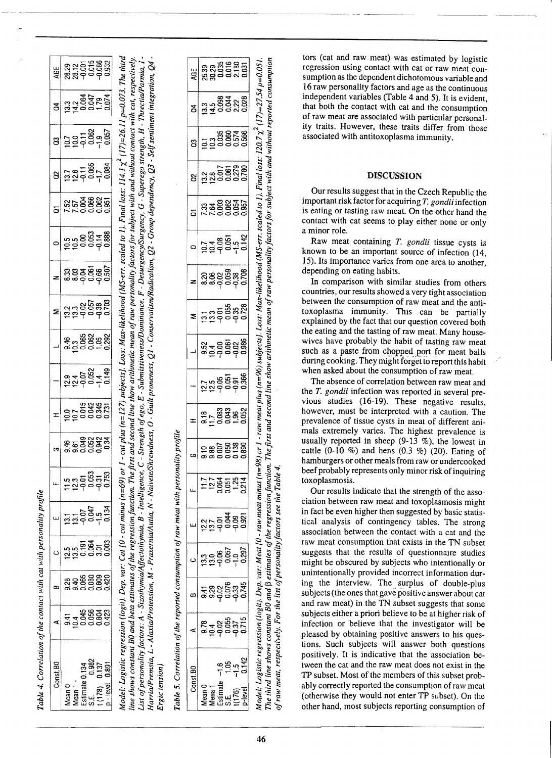| da marconality mrotil                                                                                           |
|-----------------------------------------------------------------------------------------------------------------|
|                                                                                                                 |
|                                                                                                                 |
|                                                                                                                 |
|                                                                                                                 |
|                                                                                                                 |
|                                                                                                                 |
|                                                                                                                 |
|                                                                                                                 |
|                                                                                                                 |
|                                                                                                                 |
|                                                                                                                 |
|                                                                                                                 |
|                                                                                                                 |
|                                                                                                                 |
|                                                                                                                 |
|                                                                                                                 |
|                                                                                                                 |
| vith cat                                                                                                        |
|                                                                                                                 |
|                                                                                                                 |
|                                                                                                                 |
|                                                                                                                 |
|                                                                                                                 |
|                                                                                                                 |
|                                                                                                                 |
|                                                                                                                 |
|                                                                                                                 |
|                                                                                                                 |
|                                                                                                                 |
|                                                                                                                 |
|                                                                                                                 |
|                                                                                                                 |
|                                                                                                                 |
|                                                                                                                 |
| t of the contact                                                                                                |
|                                                                                                                 |
|                                                                                                                 |
| The contract of the contract of the contract of the contract of the contract of the contract of the contract of |
|                                                                                                                 |
|                                                                                                                 |
|                                                                                                                 |
|                                                                                                                 |
|                                                                                                                 |
|                                                                                                                 |
|                                                                                                                 |
|                                                                                                                 |
| )<br>)<br>)                                                                                                     |
|                                                                                                                 |
|                                                                                                                 |
| r<br>A                                                                                                          |
|                                                                                                                 |
|                                                                                                                 |
|                                                                                                                 |
| Table                                                                                                           |
|                                                                                                                 |

| <b>AGE</b>               | 83255888<br>88765888                                                                                                                         |                                 |  |
|--------------------------|----------------------------------------------------------------------------------------------------------------------------------------------|---------------------------------|--|
| g                        |                                                                                                                                              |                                 |  |
| g                        |                                                                                                                                              |                                 |  |
| 8                        | $127$<br>$291$<br>$0.065$<br>$-1.7$<br>$0.084$                                                                                               |                                 |  |
|                          | ង ភូមិ ខេត្ត<br>ដូច ខេត្តខ្ពុំ<br>ក្នុង ខេត្ត                                                                                                |                                 |  |
|                          |                                                                                                                                              |                                 |  |
| z                        | အိုး<br>အိုးချွန်း အိုးချွန်း<br>အိုးချွန်း အိုးချွန်း                                                                                       |                                 |  |
| Z                        | ភ្នួដ ១៩២<br>ភ្នំង ១៩២ ២                                                                                                                     |                                 |  |
| $\overline{\phantom{0}}$ | 4.3888982                                                                                                                                    |                                 |  |
|                          | 014000149<br>01400149<br>01290149                                                                                                            |                                 |  |
|                          | 007<br>007 50886<br>007 60886                                                                                                                |                                 |  |
|                          | <b>46 588234</b><br>96 5882<br>990 09                                                                                                        |                                 |  |
|                          | n 3 5 8 9 9 8<br>1 9 9 9 9 9 9<br>1 9 9 9 9 9                                                                                                |                                 |  |
|                          |                                                                                                                                              |                                 |  |
|                          | ១<br>ភូមិ ភូមិ ភូមិ<br>ភូមិ ភូមិ ភូមិ                                                                                                        |                                 |  |
|                          | ឌ ទុ មិន ខ្លួន<br>តូ ទី ខ្លួន ខ្លួន                                                                                                          |                                 |  |
|                          | 41<br>9388423<br>9000000                                                                                                                     |                                 |  |
| onst.BC                  | $\begin{array}{c}\n\text{Mean 1} \\ \text{estimate} \\ \text{S.E.} \\ \text{I(178)} \\ \text{I(178)} \\ \text{p}-level\n\end{array}$<br>lean | អន្លី<br>កូនីក្នុង<br>កូនីក្នុង |  |

Model: Logistic regression (logit), Dep. var: Cat [0 - cat minus (n=69) or 1 - cat plus (n=127) subjects). Loss: Max-likelihood (MS-err. scaled to 1). Final loss: 114.1  $\chi^2$  (17)=26.11 p=0.073. The third line shows constant B0 and beta estimates of the regression function. The first and second line show arithmetic mean of raw personality factors for subject with and without contact with cat, respectively. List of personality factors: A - Sizothymia/Affectothymia, B - Intelligence, C - Strength of ego, E - Submissiveness/Dominance, F - Desurgency/Surgency, G - Superego strength, H - Threctia/Parmia, I -Harria/Premsia, L - Alaxia/Protension, M - Praxernia/Autia, N - Naivete/Shrewdness, O - Ginereratism/Radicalism, Q2 - Group dependency, Q3 - Self sentiment integration, Q4 Ergic tension)

Table 5. Correlation of the reported consumption of raw meat with personality profile

| <u>AGE</u>    | ន្ត<br>ន្តន្ត្រី<br>ន្តទី០០សី                 |  |                                                                                                                                                                                |  |
|---------------|-----------------------------------------------|--|--------------------------------------------------------------------------------------------------------------------------------------------------------------------------------|--|
| $\mathbf{z} $ |                                               |  |                                                                                                                                                                                |  |
| ឌូ            |                                               |  |                                                                                                                                                                                |  |
| ຮ             |                                               |  |                                                                                                                                                                                |  |
| ā             | ក្ក<br>ក្នុងខ្លួនធ្វើ<br>ក្នុងខ្លួនធ្វើ       |  |                                                                                                                                                                                |  |
|               | 01485<br>01485042<br>010404                   |  |                                                                                                                                                                                |  |
|               | ನಿ ತಿದ್ದಿ ಕಾರಿ<br>ಜಿ ತಿದ್ದಿ ಕಾರಿ<br>ಜಿ ಪ್ರಧ ರ |  |                                                                                                                                                                                |  |
|               |                                               |  | ដូង ១៩៥<br>ដូង ១៩៥ ១<br>ដូង ១ ១                                                                                                                                                |  |
|               | ဗို – ၁၉၆၁<br>ဗို – ၁၉၆၁<br>ဗို – ၁၉          |  |                                                                                                                                                                                |  |
|               | ភូមិ ១១<br>ការក្នុង ១១<br>ក្នុង ១១            |  |                                                                                                                                                                                |  |
| x             | 0.78888888                                    |  |                                                                                                                                                                                |  |
|               |                                               |  |                                                                                                                                                                                |  |
|               | <b>H2ggg23</b>                                |  |                                                                                                                                                                                |  |
|               | ភូមិទទួល<br>កូនីទូនី                          |  |                                                                                                                                                                                |  |
|               | ១១៩៦<br>ភូមិទី១១<br>ភូមិទី១                   |  |                                                                                                                                                                                |  |
|               | —<br>နစ္သမင္မစ္မွန္<br>အခုခုခုခံ              |  |                                                                                                                                                                                |  |
|               | ខ្លួ<br>ភូមិក្លួច ។<br>ត្តូត្តិក្នុង          |  |                                                                                                                                                                                |  |
| onst.BC       |                                               |  | <u>៙</u> ឨ៰ឨ<br>កុម្មក្នុង<br>$\begin{array}{c}\n\hline\n\text{fem 1} \\ \hline\n\text{simat} \\ \text{f(176)} \\ \hline\n\text{L} \\ \hline\n\text{L} \\ \hline\n\end{array}$ |  |

The third line shows constant B0 and B estimates of the regression function. The first and second line show arithmetic mean of raw personality factors for subject with and without reported consumption

Model: Logistic regression (logit). Dep. var: Meat [0 - raw meat minus (n=98) or 1 - raw meat plus (n=96) subjects). Loss: Max-likelihood (MS-err. scaled to 1). Final loss: 120.7 x2 (17)=27.54 p=0.051.

tors (cat and raw meat) was estimated by logistic regression using contact with cat or raw meat consumption as the dependent dichotomous variable and 16 raw personality factors and age as the continuous independent variables (Table 4 and 5). It is evident, that both the contact with cat and the consumption of raw meat are associated with particular personality traits. However, these traits differ from those associated with antitoxoplasma immunity.

# **DISCUSSION**

Our results suggest that in the Czech Republic the important risk factor for acquiring *T. gondii* infection is eating or tasting raw meat. On the other hand the contact with cat seems to play either none or only a minor role.

Raw meat containing *T. gondii* tissue cysts is known to be an important source of infection (14, 15). Its importance varies from one area to another, depending on eating habits.

In comparison with similar studies from others countries, our results showed a very tight association between the consumption of raw meat and the antitoxoplasma immunity. This can be partially explained by the fact that our question covered both the eating and the tasting of raw meat. Many housewives have probably the habit of tasting raw meat such as a paste from chopped port for meat balls. during cooking. They might forget to report this habit when asked about the consumption of raw meat.

The absence of correlation between raw meat and the *T. gondii* infection was reported in several previous studies (16-19). These negative results, however, must be interpreted with a caution. The prevalence of tissue cysts in meat of different animals extremely varies. The highest prevalence is usually reported in sheep  $(9-13 \%)$ , the lowest in cattle  $(0-10\%)$  and hens  $(0.3\%)$   $(20)$ . Eating of hamburgers or other meals from raw or undercooked beef probably represents only minor risk of inquiring toxoplasmosis.

Our results indicate that the strength of the association between raw meat and toxoplasmosis might in fact be even higher then suggested by basic statistical analysis of contingency tables. The strong association between the contact with a cat and the raw meat consumption that exists in the TN subset suggests that the results of questionnaire studies might be obscured by subjects who intentionally or unintentionally provided incorrect information during the interview. The surplus of double-plus subjects (the ones that gave positive answer about cat and raw meat) in the TN subset suggests that some subjects either a priori believe to be at higher risk of infection or believe that the investigator will be pleased by obtaining positive answers to his questions. Such subjects will answer both questions positively. It is indicative that the association between the cat and the raw meat does not exist in the TP subset. Most of the members of this subset probably correctly reported the consumption of raw meat (otherwise they would not enter TP subset), On the other hand, most subjects reporting consumption of

of raw meat, respectively. For the list of personality factors see the Table 4.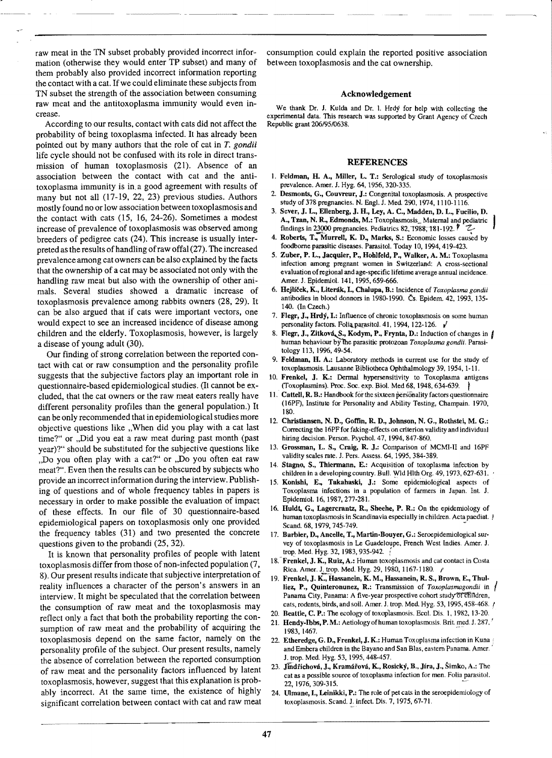raw meat in the TN subset probably provided incorrect information (otherwise they would enter TP subset) and many of them probably also provided incorrect information reporting the contact with a cat. If we could eliminate these subjects from TN subset the strength of the association between consuming raw meat and the antitoxoplasma immunity would even increase.

According to our results. contact with cats did not affect the probability of being toxoplasma infected. It has already been pointed out by many authors that the role of cat in  $T$ . gondii life cycle should not be confused with its role in direct transmission of human toxoplasmosis (21). Absence of an association between the contact with cat and the antitoxoplasma immunity is in. a good agreement with results of many but not all (17-19, 22, 23) previous studies. Authors mostly found no or low association between toxoplasmosis and the contact with cats (15, 16, 24-26). Sometimes a modest increase of prevalence of toxoplasmosis was observed among breeders of pedigree cats (24). This increase is usually interpreted as the results of handling ofraw offal (27). The increased prevalence among cat owners can be also explained by the facts that the ownership of a cat may be associated not only with the handling raw meat but also with the ownership of other animals. Several studies showed a dramatic increase of toxoplasmosis prevalence among rabbits owners (28, 29). It can be also argued that if cats were important vectors, one would expect to see an increased incidence of disease among children and the elderly. Toxoplasmosis, however. is largely a disease of young adult (30).

Our finding of strong correlation between the reported contact with cat or raw consumption and the personality profile suggests that the subjective factors play an important role in questionnaire-based epidemiological studies. (It cannot be excluded, that the cat owners or the raw meat eaters really have different personality profiles than the general population.) It can be only recommended that in epidemiological studies more objective questions like "When did you play with a cat last time?" or "Did you eat a raw meat during past month (past year)?" should be substituted for the subjective questions like "Do you often play with a cat?" or ,Do you often eat raw meat?". Even then the results can be obscured by subjects who provide an incorrect information during the interview. Publishing of questions and of whole frequency tables in papers is necessary in order to make possible the evaluation of impact of these effects. In our file of 30 questionnaire-based epidemiological papers on toxoplasmosis only one provided the frequency tables (31) and two presented the concrete questions given to the probandi (25, 32).

It is known that personality profiles of people with latent toxoplasmosis differ from those of non-infected population (7, 8). Our present results indicate that subjective interpretation of reality influences a character of the person's answers in an interview. It might be speculated that the correlation between the consumption of raw meat and the toxoplasmosis may reflect only a fact that both the probability reporting the consumption of raw meat and the probability of acquiring the toxoplasmosis depend on the same factor, namely on the personality profile of the subject. Our present results, namely the absence of correlation between the reported consumption of raw meat and the personality factors influenced by latent toxoplasmosis, however, suggest that this explanation is probably incorrect. At the same time, the existence of highly significant correlation between contact with cat and raw meat

consumption could explain the reported positive association between toxoplasmosis and the cat ownership.

## Acknowledgement

We thank Dr. J. Kulda and Dr. 1. Hrdy for help with collecting the experimental data. This research was supported by Grant Agency of Czech Republic grant *206195/0638.* 

#### REFERENCES

- 1. Feldman, H. A., Miller, L. T.: Serological study of toxoplasmosis prevalence. Amer. J. Hyg. 64, 1956, 320-335.
- 2. Desmonts, G., Couvreur, J.: Congenital toxoplasmosis. A prospective study of 378 pregnancies. N. Engl. J. Med. 290, 1974, 1110-1116.
- 3. Sever, J. L., Ellenberg, J. H., Ley, A. C., Madden, D. L., Fucilio, D. A., Tzan, N. R., Edmonds, M.: Toxoplasmosis\_ Maternal and pediatric findings in  $23000$  pregnancies. Pediatrics 82, 1988, 181-192.
- 4. Roberts, T., Murrell, K. D., Marks, S.: Economic losses caused by foodborne parasitic diseases. Parasitol. Today 10, 1994, 419-423.
- 5. Zuber, P. L., Jacquier, P., Hohlfeld, P., Walker, A. M.: Toxoplasma infection among pregnant women in Switzerland: A cross-sectional evaluation ofregional and age· specific lifetime average annual incidence. Amer. J. Epidemiol. 141. 1995.659-666.
- 6. Hejlicek, K., Literak, I., Chalupa, B.: Incidence of *Toxoplasma gondii* antibodies in blood donnors in 1980·1990. Cs. Epidem. 42. 1993, 135· 140. (In Czech.)
- 7. Flegr, J., Hrdy, I.: Influence of chronic toxoplasmosis on some human personality factors. Folia parasitol. 41, 1994, 122-126.
- 8. Flegr, J., Zitková, S., Kodym, P., Frynta, D.: Induction of changes in | human behaviour bYlhe parasitic protozoan *Toxoplasma gondii.* Parasi· tology 113, 1996,49·54.
- 9. Feldman, H. A.: Laboratory methods in current use for the study of toxoplasmosis. Lausanne Bibliotheca Ophthalmology 39, 1954, 1·11.
- 10. Frenkel, J. K.: Dermal hypersensitivity to Toxoplasma antigens (Toxoplasmins). Proc. Soc. exp. Biol. Med 68, 1948, 634-639.  $\left\{\right\}$
- 11. Cattell, R. B.: Handbook for the sixteen personality factors questionnaire (I6PF), Institute for Personality and Ability Testing, Champain. 1970. ISO.
- 12. Christiansen, N. D., Goffin, R. D., Johnson, N. G., Rotbstei, M. G.: Correcting the 16PF for faking-effects on criterion validity and individual hiring decision. Person. Psychol. 47, 1994, 847-860.
- 13. Grossman, L. S., Craig, R. J.: Comparison of MCMI-II and 16PF validity scales rate. J. Pers. Assess. 64, 1995,384·389.
- 14. Stagno, S., Thiermann, E.: Acquisition of toxoplasma infection by children in a developing country. Bull. Wid Hlth Org. 49, 1973.627-631.
- 15. Konishi, E., Takahaski, J.: Some epidemiological aspects of Toxoplasma infections in a population of farmers in Japan. Int. 1. Epidemiol. 16, 1987,277-281.
- 16. Huldt, G., Lagercrantz, R., Sheehe, P. R.: On the epidemiology of human toxoplasmosis in Scandinavia especially in children. Acta paediat. ! Scand. 68, 1979, 745-749.
- 17. Barbier, D., Ancelle, T., Martin-Bouyer, G.: Seroepidemiological survey of toxoplasmosis in Le Guadeloupe, French West Indies. Amer. 1. trop. Med. Hyg. 32, 1983, 935-942.
- 18. Frenkel, J. K., Ruiz, A.: Human toxoplasmosis and cat contact in Costa Rica. Amer. J. trop. Med. Hyg. 29, 1980, 1167-1180. /
- 19. Frenkel, J. K., Hassanein, K. M., Hassanein, R. S., Brown, E., Thulliez, P., Quinteronunez, R.: Transmission of *Toxoplasmagondii* in Panama City, Panama: A five-year prospective cohort study of children. cats, rodents, birds, and soil. Amer. J. trop. Med. Hyg. 53, 1995, 458-468. *i* I
- 20. Beattie, C. P.: The ecology of toxoplasmosis. Ecol. Dis. 1, 1982, 13-20.
- 21. Hendy-Ibbs, P.M.: Aetiology of human toxoplasmosis. Brit. med. J. 287. 1983, 1467.
- 22. Etheredge, G. D., Frenkel, J. K.: Human Toxoplasma infection in Kuna and Embera children in the Bayano and San Bias. eastern Panama. Amer. . J. tmp. Med. Hyg. 53, 1995,448·457.
- 23. Jindřichová, J., Kramářová, K., Rosický, B., Jíra, J., Šimko, A.: The cat as a possible source of toxoplasma infection for rnen. Folia parasitol. 22, 1976, 309-315.
- 24. Ulmane, I., Leinikki, P.: The role of pet cats in the seroepidemiology of toxoplasmosis. Scand. J. infect. Dis. 7, 1975, 67-71.